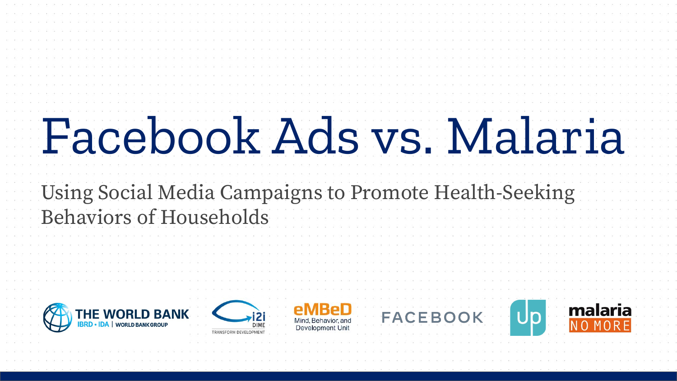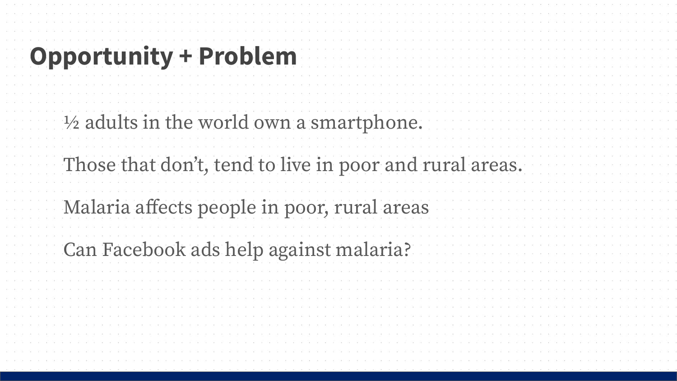| <b>Opportunity + Problem</b>                            |  |  |  |  |
|---------------------------------------------------------|--|--|--|--|
| 1/2 adults in the world own a smartphone.               |  |  |  |  |
| Those that don't, tend to live in poor and rural areas. |  |  |  |  |
| Malaria affects people in poor, rural areas             |  |  |  |  |
| Can Facebook ads help against malaria?                  |  |  |  |  |
|                                                         |  |  |  |  |
|                                                         |  |  |  |  |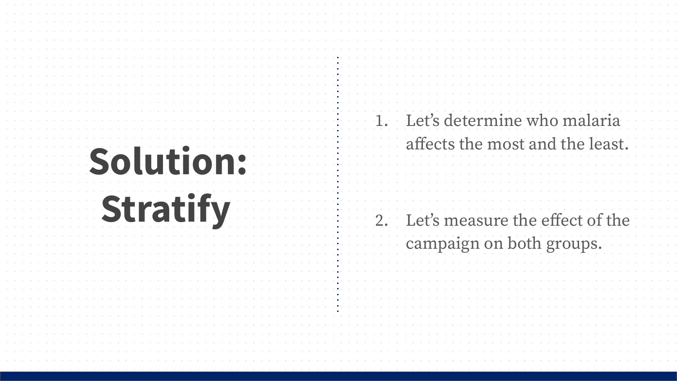| <b>Solution:</b> | 1. Let's determine who malaria<br>affects the most and the least. |
|------------------|-------------------------------------------------------------------|
|                  |                                                                   |
| <b>Stratify</b>  | 2. Let's measure the effect of the<br>campaign on both groups.    |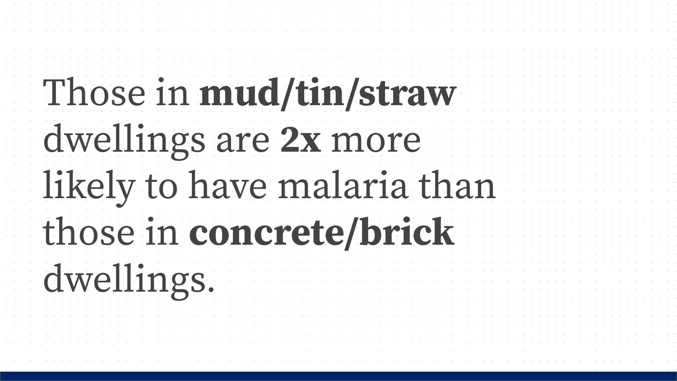| Those in mud/tin/straw      |  |
|-----------------------------|--|
|                             |  |
| dwellings are 2x more       |  |
|                             |  |
| likely to have malaria than |  |
| those in concrete/brick     |  |
|                             |  |
|                             |  |
| dwellings.                  |  |
|                             |  |
|                             |  |
|                             |  |
|                             |  |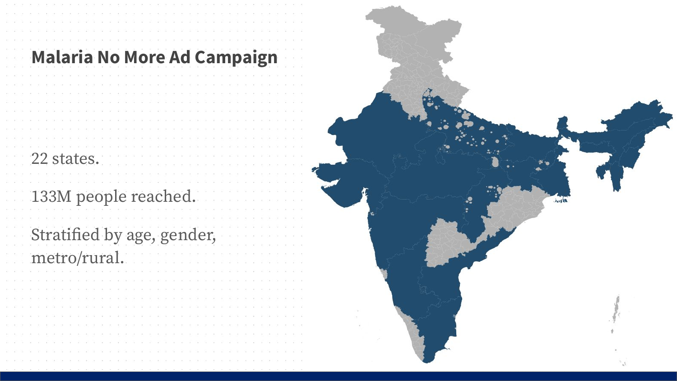|  |  |  | <b>Malaria No More Ad Campaign</b> |  |  |  |  |  |  |  |  |  |  |  |  |  |  |  |
|--|--|--|------------------------------------|--|--|--|--|--|--|--|--|--|--|--|--|--|--|--|
|  |  |  |                                    |  |  |  |  |  |  |  |  |  |  |  |  |  |  |  |
|  |  |  |                                    |  |  |  |  |  |  |  |  |  |  |  |  |  |  |  |
|  |  |  |                                    |  |  |  |  |  |  |  |  |  |  |  |  |  |  |  |
|  |  |  |                                    |  |  |  |  |  |  |  |  |  |  |  |  |  |  |  |
|  |  |  |                                    |  |  |  |  |  |  |  |  |  |  |  |  |  |  |  |
|  |  |  |                                    |  |  |  |  |  |  |  |  |  |  |  |  |  |  |  |
|  |  |  |                                    |  |  |  |  |  |  |  |  |  |  |  |  |  |  |  |
|  |  |  |                                    |  |  |  |  |  |  |  |  |  |  |  |  |  |  |  |
|  |  |  |                                    |  |  |  |  |  |  |  |  |  |  |  |  |  |  |  |
|  |  |  |                                    |  |  |  |  |  |  |  |  |  |  |  |  |  |  |  |
|  |  |  | 22 states.                         |  |  |  |  |  |  |  |  |  |  |  |  |  |  |  |
|  |  |  |                                    |  |  |  |  |  |  |  |  |  |  |  |  |  |  |  |
|  |  |  |                                    |  |  |  |  |  |  |  |  |  |  |  |  |  |  |  |
|  |  |  |                                    |  |  |  |  |  |  |  |  |  |  |  |  |  |  |  |
|  |  |  | 133M people reached.               |  |  |  |  |  |  |  |  |  |  |  |  |  |  |  |
|  |  |  |                                    |  |  |  |  |  |  |  |  |  |  |  |  |  |  |  |
|  |  |  |                                    |  |  |  |  |  |  |  |  |  |  |  |  |  |  |  |
|  |  |  |                                    |  |  |  |  |  |  |  |  |  |  |  |  |  |  |  |
|  |  |  | Stratified by age, gender,         |  |  |  |  |  |  |  |  |  |  |  |  |  |  |  |
|  |  |  |                                    |  |  |  |  |  |  |  |  |  |  |  |  |  |  |  |
|  |  |  | metro/rural.                       |  |  |  |  |  |  |  |  |  |  |  |  |  |  |  |
|  |  |  |                                    |  |  |  |  |  |  |  |  |  |  |  |  |  |  |  |
|  |  |  |                                    |  |  |  |  |  |  |  |  |  |  |  |  |  |  |  |
|  |  |  |                                    |  |  |  |  |  |  |  |  |  |  |  |  |  |  |  |
|  |  |  |                                    |  |  |  |  |  |  |  |  |  |  |  |  |  |  |  |
|  |  |  |                                    |  |  |  |  |  |  |  |  |  |  |  |  |  |  |  |
|  |  |  |                                    |  |  |  |  |  |  |  |  |  |  |  |  |  |  |  |
|  |  |  |                                    |  |  |  |  |  |  |  |  |  |  |  |  |  |  |  |
|  |  |  |                                    |  |  |  |  |  |  |  |  |  |  |  |  |  |  |  |
|  |  |  |                                    |  |  |  |  |  |  |  |  |  |  |  |  |  |  |  |
|  |  |  |                                    |  |  |  |  |  |  |  |  |  |  |  |  |  |  |  |
|  |  |  |                                    |  |  |  |  |  |  |  |  |  |  |  |  |  |  |  |
|  |  |  |                                    |  |  |  |  |  |  |  |  |  |  |  |  |  |  |  |

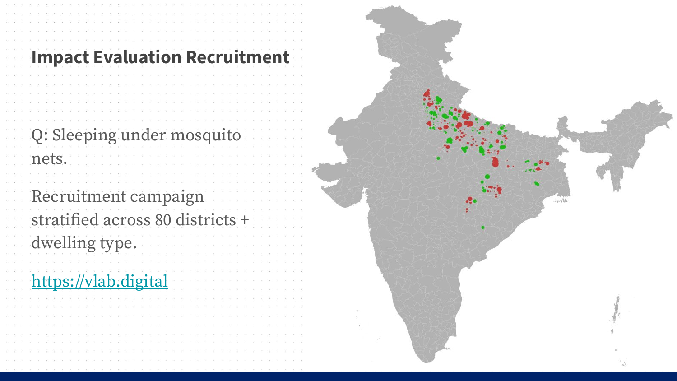| <b>Impact Evaluation Recruitment</b>                                       |  |
|----------------------------------------------------------------------------|--|
| Q: Sleeping under mosquito<br>nets.                                        |  |
| Recruitment campaign<br>stratified across 80 districts +<br>dwelling type. |  |
| https://vlab.digital                                                       |  |
|                                                                            |  |

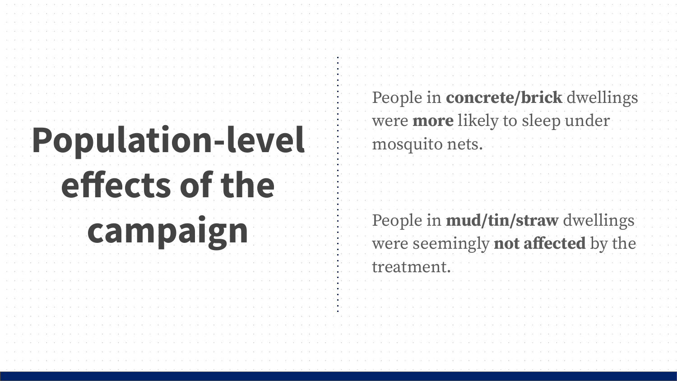| <b>Population-level</b><br>effects of the | People in concrete/brick dwellings<br>were more likely to sleep under<br>mosquito nets. |
|-------------------------------------------|-----------------------------------------------------------------------------------------|
| campaign                                  | People in mud/tin/straw dwellings                                                       |
|                                           | were seemingly not affected by the<br>treatment.                                        |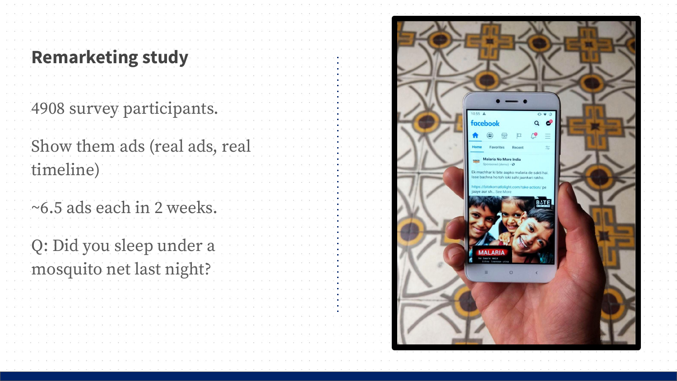| <b>Remarketing study</b>                             |  |
|------------------------------------------------------|--|
| 4908 survey participants.                            |  |
| Show them ads (real ads, real<br>timeline)           |  |
| ~6.5 ads each in 2 weeks.                            |  |
| Q: Did you sleep under a<br>mosquito net last night? |  |
|                                                      |  |
|                                                      |  |

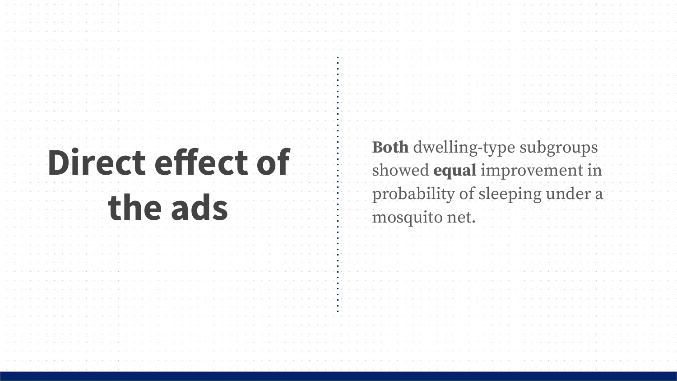| <b>Direct effect of</b><br>the ads | Both dwelling-type subgroups<br>showed equal improvement in<br>probability of sleeping under a<br>mosquito net. |
|------------------------------------|-----------------------------------------------------------------------------------------------------------------|
|                                    |                                                                                                                 |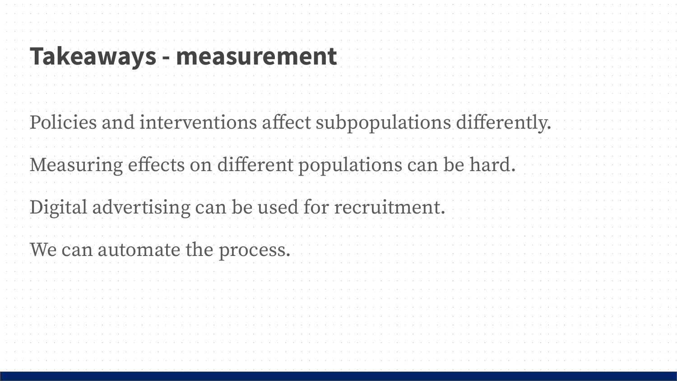| <b>Takeaways - measurement</b>                                |  |
|---------------------------------------------------------------|--|
| Policies and interventions affect subpopulations differently. |  |
| Measuring effects on different populations can be hard.       |  |
| Digital advertising can be used for recruitment.              |  |
| We can automate the process.                                  |  |
|                                                               |  |
|                                                               |  |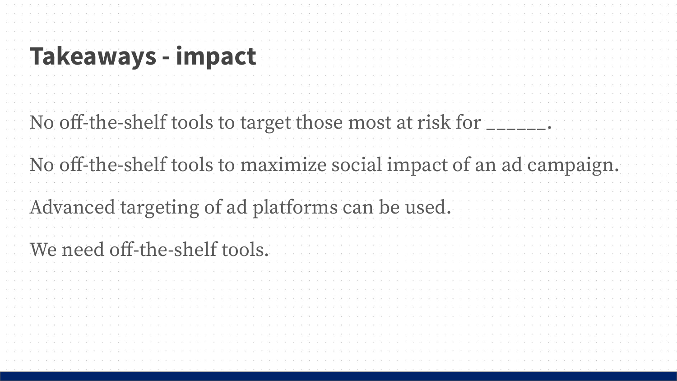| Takeaways - impact                                                  |
|---------------------------------------------------------------------|
| No off-the-shelf tools to target those most at risk for             |
| No off-the-shelf tools to maximize social impact of an ad campaign. |
| Advanced targeting of ad platforms can be used.                     |
| We need off-the-shelf tools.                                        |
|                                                                     |